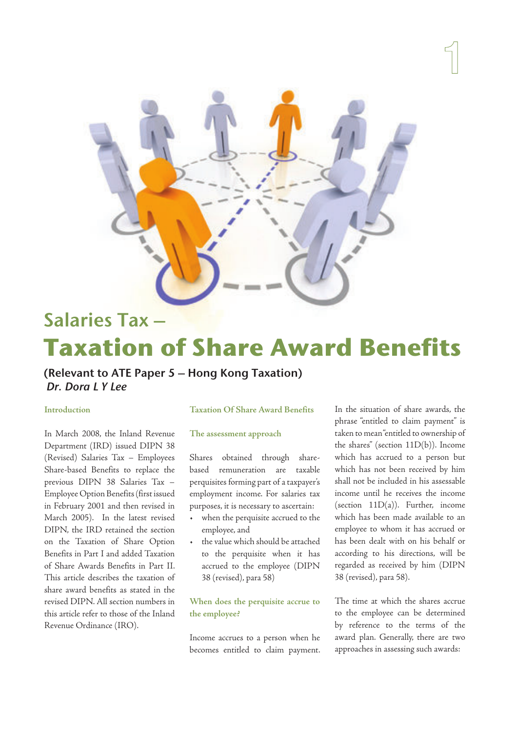

# Salaries Tax – **Taxation of Share Award Benefits**

# (Relevant to ATE Paper 5 – Hong Kong Taxation) Dr. Dora L Y Lee

# **Introduction**

In March 2008, the Inland Revenue Department (IRD) issued DIPN 38 (Revised) Salaries Tax – Employees Share-based Benefits to replace the previous DIPN 38 Salaries Tax – Employee Option Benefits (first issued in February 2001 and then revised in March 2005). In the latest revised DIPN, the IRD retained the section on the Taxation of Share Option Benefits in Part I and added Taxation of Share Awards Benefits in Part II. This article describes the taxation of share award benefits as stated in the revised DIPN. All section numbers in this article refer to those of the Inland Revenue Ordinance (IRO).

#### **Taxation Of Share Award Benefits**

# **The assessment approach**

Shares obtained through sharebased remuneration are taxable perquisites forming part of a taxpayer's employment income. For salaries tax purposes, it is necessary to ascertain:

- when the perquisite accrued to the employee, and
- the value which should be attached to the perquisite when it has accrued to the employee (DIPN 38 (revised), para 58)

# **When does the perquisite accrue to the employee?**

Income accrues to a person when he becomes entitled to claim payment. In the situation of share awards, the phrase "entitled to claim payment" is taken to mean "entitled to ownership of the shares" (section 11D(b)). Income which has accrued to a person but which has not been received by him shall not be included in his assessable income until he receives the income (section  $11D(a)$ ). Further, income which has been made available to an employee to whom it has accrued or has been dealt with on his behalf or according to his directions, will be regarded as received by him (DIPN 38 (revised), para 58).

The time at which the shares accrue to the employee can be determined by reference to the terms of the award plan. Generally, there are two approaches in assessing such awards: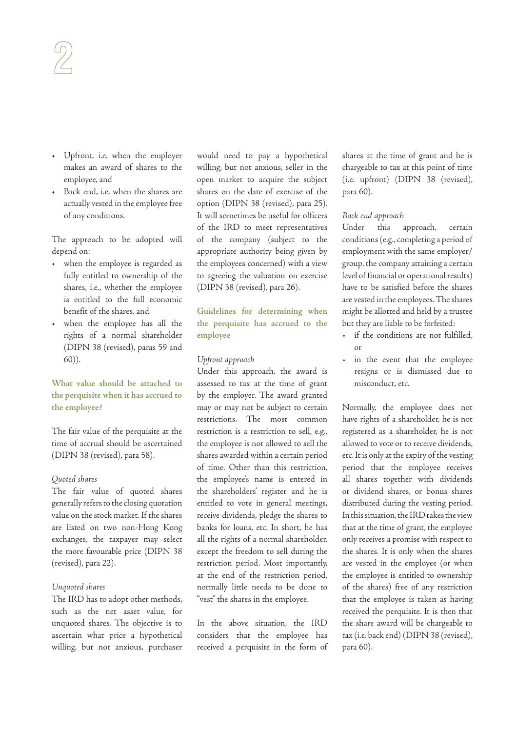- Upfront, i.e. when the employer makes an award of shares to the employee, and
- Back end, i.e. when the shares are actually vested in the employee free of any conditions.

The approach to be adopted will depend on:

- when the employee is regarded as fully entitled to ownership of the shares, i.e., whether the employee is entitled to the full economic benefit of the shares, and
- when the employee has all the rights of a normal shareholder (DIPN 38 (revised), paras 59 and 60)).

# **What value should be attached to the perquisite when it has accrued to the employee?**

The fair value of the perquisite at the time of accrual should be ascertained (DIPN 38 (revised), para 58).

# Quoted shares

The fair value of quoted shares generally refers to the closing quotation value on the stock market. If the shares are listed on two non-Hong Kong exchanges, the taxpayer may select the more favourable price (DIPN 38 (revised), para 22).

#### Unquoted shares

The IRD has to adopt other methods, such as the net asset value, for unquoted shares. The objective is to ascertain what price a hypothetical willing, but not anxious, purchaser would need to pay a hypothetical willing, but not anxious, seller in the open market to acquire the subject shares on the date of exercise of the option (DIPN 38 (revised), para 25). It will sometimes be useful for officers of the IRD to meet representatives of the company (subject to the appropriate authority being given by the employees concerned) with a view to agreeing the valuation on exercise (DIPN 38 (revised), para 26).

**Guidelines for determining when the perquisite has accrued to the employee**

# Upfront approach

Under this approach, the award is assessed to tax at the time of grant by the employer. The award granted may or may not be subject to certain restrictions. The most common restriction is a restriction to sell, e.g., the employee is not allowed to sell the shares awarded within a certain period of time. Other than this restriction, the employee's name is entered in the shareholders' register and he is entitled to vote in general meetings, receive dividends, pledge the shares to banks for loans, etc. In short, he has all the rights of a normal shareholder, except the freedom to sell during the restriction period. Most importantly, at the end of the restriction period, normally little needs to be done to "vest" the shares in the employee.

In the above situation, the IRD considers that the employee has received a perquisite in the form of shares at the time of grant and he is chargeable to tax at this point of time (i.e. upfront) (DIPN 38 (revised), para 60).

# Back end approach

Under this approach, certain conditions (e.g., completing a period of employment with the same employer/ group, the company attaining a certain level of financial or operational results) have to be satisfied before the shares are vested in the employees. The shares might be allotted and held by a trustee but they are liable to be forfeited:

- if the conditions are not fulfilled, or
- in the event that the employee resigns or is dismissed due to misconduct, etc.

Normally, the employee does not have rights of a shareholder, he is not registered as a shareholder, he is not allowed to vote or to receive dividends, etc. It is only at the expiry of the vesting period that the employee receives all shares together with dividends or dividend shares, or bonus shares distributed during the vesting period. In this situation, the IRD takes the view that at the time of grant, the employee only receives a promise with respect to the shares. It is only when the shares are vested in the employee (or when the employee is entitled to ownership of the shares) free of any restriction that the employee is taken as having received the perquisite. It is then that the share award will be chargeable to tax (i.e. back end) (DIPN 38 (revised), para 60).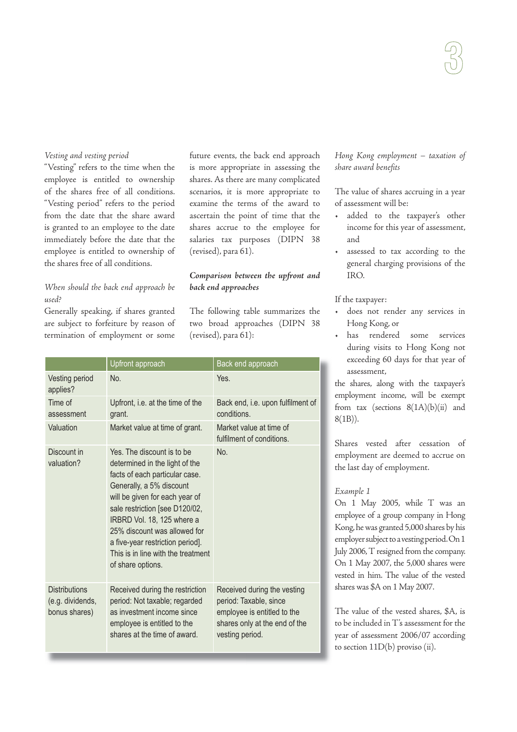# Vesting and vesting period

"Vesting" refers to the time when the employee is entitled to ownership of the shares free of all conditions. "Vesting period" refers to the period from the date that the share award is granted to an employee to the date immediately before the date that the employee is entitled to ownership of the shares free of all conditions.

# When should the back end approach be used?

Generally speaking, if shares granted are subject to forfeiture by reason of termination of employment or some

future events, the back end approach is more appropriate in assessing the shares. As there are many complicated scenarios, it is more appropriate to examine the terms of the award to ascertain the point of time that the shares accrue to the employee for salaries tax purposes (DIPN 38 (revised), para 61).

# **Comparison between the upfront and back end approaches**

The following table summarizes the two broad approaches (DIPN 38 (revised), para 61):

|                                                           | Upfront approach                                                                                                                                                                                                                                                                                                                                            | Back end approach                                                                                                                        |
|-----------------------------------------------------------|-------------------------------------------------------------------------------------------------------------------------------------------------------------------------------------------------------------------------------------------------------------------------------------------------------------------------------------------------------------|------------------------------------------------------------------------------------------------------------------------------------------|
| Vesting period<br>applies?                                | No.                                                                                                                                                                                                                                                                                                                                                         | Yes.                                                                                                                                     |
| Time of<br>assessment                                     | Upfront, i.e. at the time of the<br>grant.                                                                                                                                                                                                                                                                                                                  | Back end, i.e. upon fulfilment of<br>conditions.                                                                                         |
| Valuation                                                 | Market value at time of grant.                                                                                                                                                                                                                                                                                                                              | Market value at time of<br>fulfilment of conditions.                                                                                     |
| Discount in<br>valuation?                                 | Yes. The discount is to be<br>determined in the light of the<br>facts of each particular case.<br>Generally, a 5% discount<br>will be given for each year of<br>sale restriction [see D120/02,<br>IRBRD Vol. 18, 125 where a<br>25% discount was allowed for<br>a five-year restriction period].<br>This is in line with the treatment<br>of share options. | No.                                                                                                                                      |
| <b>Distributions</b><br>(e.g. dividends,<br>bonus shares) | Received during the restriction<br>period: Not taxable; regarded<br>as investment income since<br>employee is entitled to the<br>shares at the time of award.                                                                                                                                                                                               | Received during the vesting<br>period: Taxable, since<br>employee is entitled to the<br>shares only at the end of the<br>vesting period. |

Hong Kong employment – taxation of share award benefits

The value of shares accruing in a year of assessment will be:

- added to the taxpayer's other income for this year of assessment, and
- assessed to tax according to the general charging provisions of the IRO.

If the taxpayer:

- does not render any services in Hong Kong, or
- has rendered some services during visits to Hong Kong not exceeding 60 days for that year of assessment,

the shares, along with the taxpayer's employment income, will be exempt from tax (sections  $8(1A)(b)(ii)$  and 8(1B)).

Shares vested after cessation of employment are deemed to accrue on the last day of employment.

# Example 1

On 1 May 2005, while T was an employee of a group company in Hong Kong, he was granted 5,000 shares by his employer subject to a vesting period. On 1 July 2006, T resigned from the company. On 1 May 2007, the 5,000 shares were vested in him. The value of the vested shares was \$A on 1 May 2007.

The value of the vested shares, \$A, is to be included in T's assessment for the year of assessment 2006/07 according to section 11D(b) proviso (ii).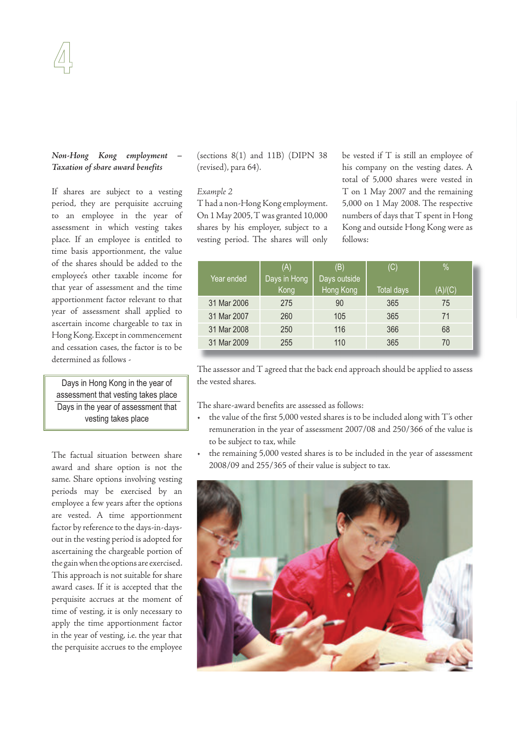# **Non-Hong Kong employment Taxation of share award benefits**

If shares are subject to a vesting period, they are perquisite accruing to an employee in the year of assessment in which vesting takes place. If an employee is entitled to time basis apportionment, the value of the shares should be added to the employee's other taxable income for that year of assessment and the time apportionment factor relevant to that year of assessment shall applied to ascertain income chargeable to tax in Hong Kong. Except in commencement and cessation cases, the factor is to be determined as follows -

Days in Hong Kong in the year of assessment that vesting takes place Days in the year of assessment that vesting takes place

The factual situation between share award and share option is not the same. Share options involving vesting periods may be exercised by an employee a few years after the options are vested. A time apportionment factor by reference to the days-in-daysout in the vesting period is adopted for ascertaining the chargeable portion of the gain when the options are exercised. This approach is not suitable for share award cases. If it is accepted that the perquisite accrues at the moment of time of vesting, it is only necessary to apply the time apportionment factor in the year of vesting, i.e. the year that the perquisite accrues to the employee

(sections 8(1) and 11B) (DIPN 38 (revised), para 64).

#### Example 2

T had a non-Hong Kong employment. On 1 May 2005, T was granted 10,000 shares by his employer, subject to a vesting period. The shares will only be vested if T is still an employee of his company on the vesting dates. A total of 5,000 shares were vested in T on 1 May 2007 and the remaining 5,000 on 1 May 2008. The respective numbers of days that T spent in Hong Kong and outside Hong Kong were as follows:

|             | (A)          | (B)          | (C)               | %       |
|-------------|--------------|--------------|-------------------|---------|
| Year ended  | Days in Hong | Days outside |                   |         |
|             | Kong         | Hong Kong    | <b>Total days</b> | (A)/(C) |
| 31 Mar 2006 | 275          | 90           | 365               | 75      |
| 31 Mar 2007 | 260          | 105          | 365               | 71      |
| 31 Mar 2008 | 250          | 116          | 366               | 68      |
| 31 Mar 2009 | 255          | 110          | 365               | 70      |

The assessor and T agreed that the back end approach should be applied to assess the vested shares.

The share-award benefits are assessed as follows:

- the value of the first 5,000 vested shares is to be included along with T's other remuneration in the year of assessment 2007/08 and 250/366 of the value is to be subject to tax, while
- the remaining 5,000 vested shares is to be included in the year of assessment 2008/09 and 255/365 of their value is subject to tax.

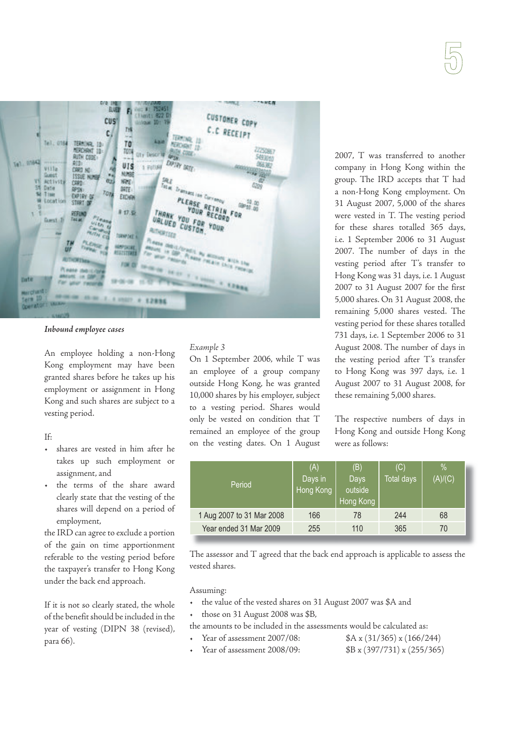

# **Inbound employee cases**

An employee holding a non-Hong Kong employment may have been granted shares before he takes up his employment or assignment in Hong Kong and such shares are subject to a vesting period.

# If:

- shares are vested in him after he takes up such employment or assignment, and
- the terms of the share award clearly state that the vesting of the shares will depend on a period of employment,

the IRD can agree to exclude a portion of the gain on time apportionment referable to the vesting period before the taxpayer's transfer to Hong Kong under the back end approach.

If it is not so clearly stated, the whole of the benefit should be included in the year of vesting (DIPN 38 (revised), para 66).

# Example 3

On 1 September 2006, while T was an employee of a group company outside Hong Kong, he was granted 10,000 shares by his employer, subject to a vesting period. Shares would only be vested on condition that T remained an employee of the group on the vesting dates. On 1 August 2007, T was transferred to another company in Hong Kong within the group. The IRD accepts that T had a non-Hong Kong employment. On 31 August 2007, 5,000 of the shares were vested in T. The vesting period for these shares totalled 365 days, i.e. 1 September 2006 to 31 August 2007. The number of days in the vesting period after T's transfer to Hong Kong was 31 days, i.e. 1 August 2007 to 31 August 2007 for the first 5,000 shares. On 31 August 2008, the remaining 5,000 shares vested. The vesting period for these shares totalled 731 days, i.e. 1 September 2006 to 31 August 2008. The number of days in the vesting period after T's transfer to Hong Kong was 397 days, i.e. 1 August 2007 to 31 August 2008, for these remaining 5,000 shares.

The respective numbers of days in Hong Kong and outside Hong Kong were as follows:

| Period                    | (A)<br>Days in<br>Hong Kong | (B)<br><b>Days</b><br>outside<br>Hong Kong | (C)<br>Total days | $\frac{0}{2}$<br>(A)/(C) |
|---------------------------|-----------------------------|--------------------------------------------|-------------------|--------------------------|
| 1 Aug 2007 to 31 Mar 2008 | 166                         | 78                                         | 244               | 68                       |
| Year ended 31 Mar 2009    | 255                         | 110                                        | 365               | 70                       |

The assessor and T agreed that the back end approach is applicable to assess the vested shares.

Assuming:

- the value of the vested shares on 31 August 2007 was \$A and
- those on 31 August 2008 was \$B,

the amounts to be included in the assessments would be calculated as:

- Year of assessment 2007/08: \$A x (31/365) x (166/244)
- Year of assessment 2008/09: \$B x (397/731) x (255/365)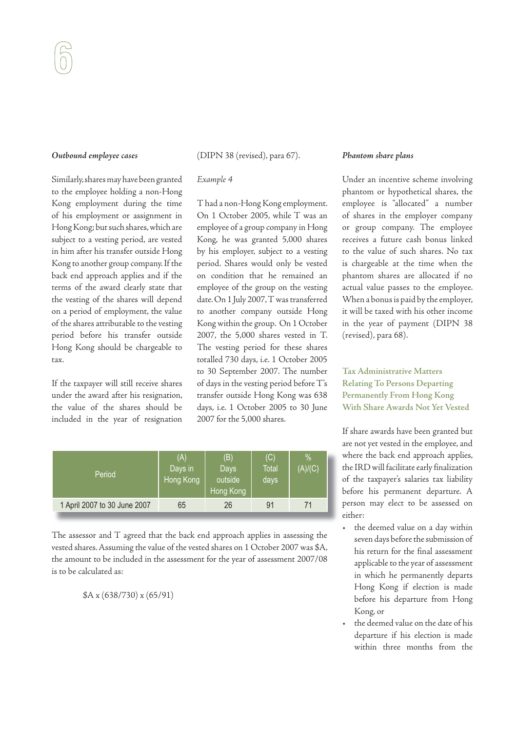# **Outbound employee cases**

Similarly, shares may have been granted to the employee holding a non-Hong Kong employment during the time of his employment or assignment in Hong Kong; but such shares, which are subject to a vesting period, are vested in him after his transfer outside Hong Kong to another group company. If the back end approach applies and if the terms of the award clearly state that the vesting of the shares will depend on a period of employment, the value of the shares attributable to the vesting period before his transfer outside Hong Kong should be chargeable to tax.

If the taxpayer will still receive shares under the award after his resignation, the value of the shares should be included in the year of resignation (DIPN 38 (revised), para 67).

# Example 4

T had a non-Hong Kong employment. On 1 October 2005, while T was an employee of a group company in Hong Kong, he was granted 5,000 shares by his employer, subject to a vesting period. Shares would only be vested on condition that he remained an employee of the group on the vesting date. On 1 July 2007, T was transferred to another company outside Hong Kong within the group. On 1 October 2007, the 5,000 shares vested in T. The vesting period for these shares totalled 730 days, i.e. 1 October 2005 to 30 September 2007. The number of days in the vesting period before T's transfer outside Hong Kong was 638 days, i.e. 1 October 2005 to 30 June 2007 for the 5,000 shares.

| Period                       | (A)<br>Days in<br>Hong Kong | (B)<br><b>Days</b><br>outside<br>Hong Kong | (C)<br>Total<br>days | %<br>(A)/(C) |
|------------------------------|-----------------------------|--------------------------------------------|----------------------|--------------|
| 1 April 2007 to 30 June 2007 | 65                          | 26                                         | 91                   |              |

The assessor and T agreed that the back end approach applies in assessing the vested shares. Assuming the value of the vested shares on 1 October 2007 was \$A, the amount to be included in the assessment for the year of assessment 2007/08 is to be calculated as:

\$A x (638/730) x (65/91)

# **Phantom share plans**

Under an incentive scheme involving phantom or hypothetical shares, the employee is "allocated" a number of shares in the employer company or group company. The employee receives a future cash bonus linked to the value of such shares. No tax is chargeable at the time when the phantom shares are allocated if no actual value passes to the employee. When a bonus is paid by the employer, it will be taxed with his other income in the year of payment (DIPN 38 (revised), para 68).

**Tax Administrative Matters Relating To Persons Departing Permanently From Hong Kong With Share Awards Not Yet Vested**

If share awards have been granted but are not yet vested in the employee, and where the back end approach applies, the IRD will facilitate early finalization of the taxpayer's salaries tax liability before his permanent departure. A person may elect to be assessed on either:

- the deemed value on a day within seven days before the submission of his return for the final assessment applicable to the year of assessment in which he permanently departs Hong Kong if election is made before his departure from Hong Kong, or
- the deemed value on the date of his departure if his election is made within three months from the